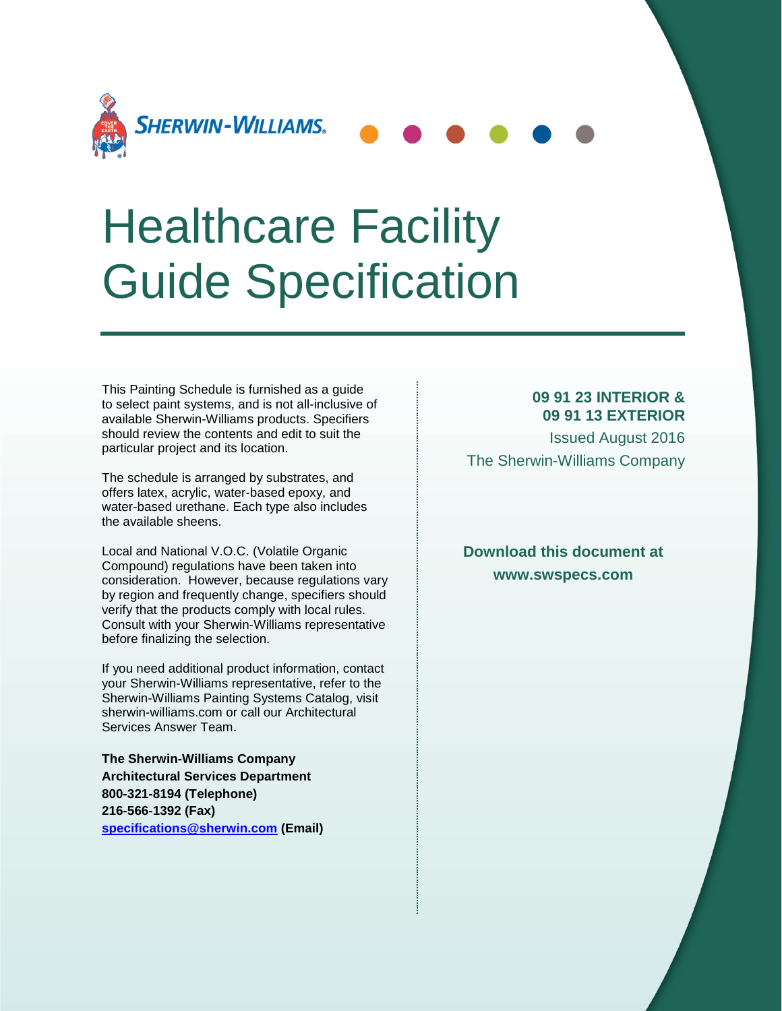

# Healthcare Facility Guide Specification

This Painting Schedule is furnished as a guide to select paint systems, and is not all-inclusive of available Sherwin-Williams products. Specifiers should review the contents and edit to suit the particular project and its location.

The schedule is arranged by substrates, and offers latex, acrylic, water-based epoxy, and water-based urethane. Each type also includes the available sheens.

Local and National V.O.C. (Volatile Organic Compound) regulations have been taken into consideration. However, because regulations vary by region and frequently change, specifiers should verify that the products comply with local rules. Consult with your Sherwin-Williams representative before finalizing the selection.

If you need additional product information, contact your Sherwin-Williams representative, refer to the Sherwin-Williams Painting Systems Catalog, visit sherwin-williams.com or call our Architectural Services Answer Team.

**The Sherwin-Williams Company Architectural Services Department 800-321-8194 (Telephone) 216-566-1392 (Fax) [specifications@sherwin.com](mailto:specifications@sherwin.com) (Email)**

### **09 91 23 INTERIOR & 09 91 13 EXTERIOR**

Issued August 2016 The Sherwin-Williams Company

**Download this document at www.swspecs.com**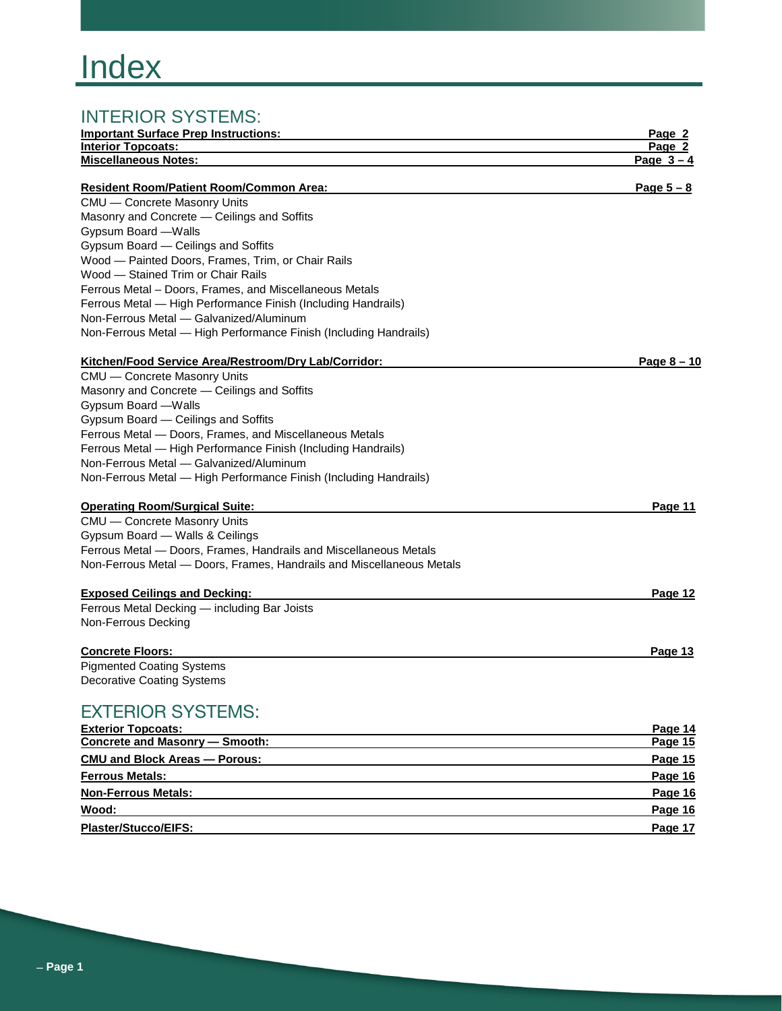### INTERIOR SYSTEMS:

| <u>INTENIUN OTOTEIVIO.</u>                                                               |             |
|------------------------------------------------------------------------------------------|-------------|
| <b>Important Surface Prep Instructions:</b>                                              | Page 2      |
| <b>Interior Topcoats:</b>                                                                | Page 2      |
| <b>Miscellaneous Notes:</b>                                                              | Page $3-4$  |
| <b>Resident Room/Patient Room/Common Area:</b>                                           |             |
| CMU - Concrete Masonry Units                                                             | Page 5 - 8  |
| Masonry and Concrete - Ceilings and Soffits                                              |             |
|                                                                                          |             |
| Gypsum Board - Walls                                                                     |             |
| Gypsum Board - Ceilings and Soffits                                                      |             |
| Wood - Painted Doors, Frames, Trim, or Chair Rails<br>Wood - Stained Trim or Chair Rails |             |
|                                                                                          |             |
| Ferrous Metal - Doors, Frames, and Miscellaneous Metals                                  |             |
| Ferrous Metal — High Performance Finish (Including Handrails)                            |             |
| Non-Ferrous Metal - Galvanized/Aluminum                                                  |             |
| Non-Ferrous Metal - High Performance Finish (Including Handrails)                        |             |
| Kitchen/Food Service Area/Restroom/Dry Lab/Corridor:                                     | Page $8-10$ |
| CMU - Concrete Masonry Units                                                             |             |
| Masonry and Concrete - Ceilings and Soffits                                              |             |
| Gypsum Board - Walls                                                                     |             |
| Gypsum Board - Ceilings and Soffits                                                      |             |
| Ferrous Metal - Doors, Frames, and Miscellaneous Metals                                  |             |
| Ferrous Metal - High Performance Finish (Including Handrails)                            |             |
| Non-Ferrous Metal - Galvanized/Aluminum                                                  |             |
| Non-Ferrous Metal - High Performance Finish (Including Handrails)                        |             |
|                                                                                          |             |
| <b>Operating Room/Surgical Suite:</b>                                                    | Page 11     |
| CMU - Concrete Masonry Units                                                             |             |
| Gypsum Board - Walls & Ceilings                                                          |             |
| Ferrous Metal - Doors, Frames, Handrails and Miscellaneous Metals                        |             |
| Non-Ferrous Metal - Doors, Frames, Handrails and Miscellaneous Metals                    |             |
|                                                                                          |             |
| <b>Exposed Ceilings and Decking:</b>                                                     | Page 12     |
| Ferrous Metal Decking - including Bar Joists                                             |             |
| Non-Ferrous Decking                                                                      |             |
| <b>Concrete Floors:</b>                                                                  | Page 13     |
| <b>Pigmented Coating Systems</b>                                                         |             |
| <b>Decorative Coating Systems</b>                                                        |             |
|                                                                                          |             |
| <b>EXTERIOR SYSTEMS:</b>                                                                 |             |
| <b>Exterior Topcoats:</b>                                                                | Page 14     |

| <b>EXTRIOR TODCOATS.</b>             | Page 14 |
|--------------------------------------|---------|
| Concrete and Masonry - Smooth:       | Page 15 |
| <b>CMU and Block Areas - Porous:</b> | Page 15 |
| <b>Ferrous Metals:</b>               | Page 16 |
| <b>Non-Ferrous Metals:</b>           | Page 16 |
| Wood:                                | Page 16 |
| <b>Plaster/Stucco/EIFS:</b>          | Page 17 |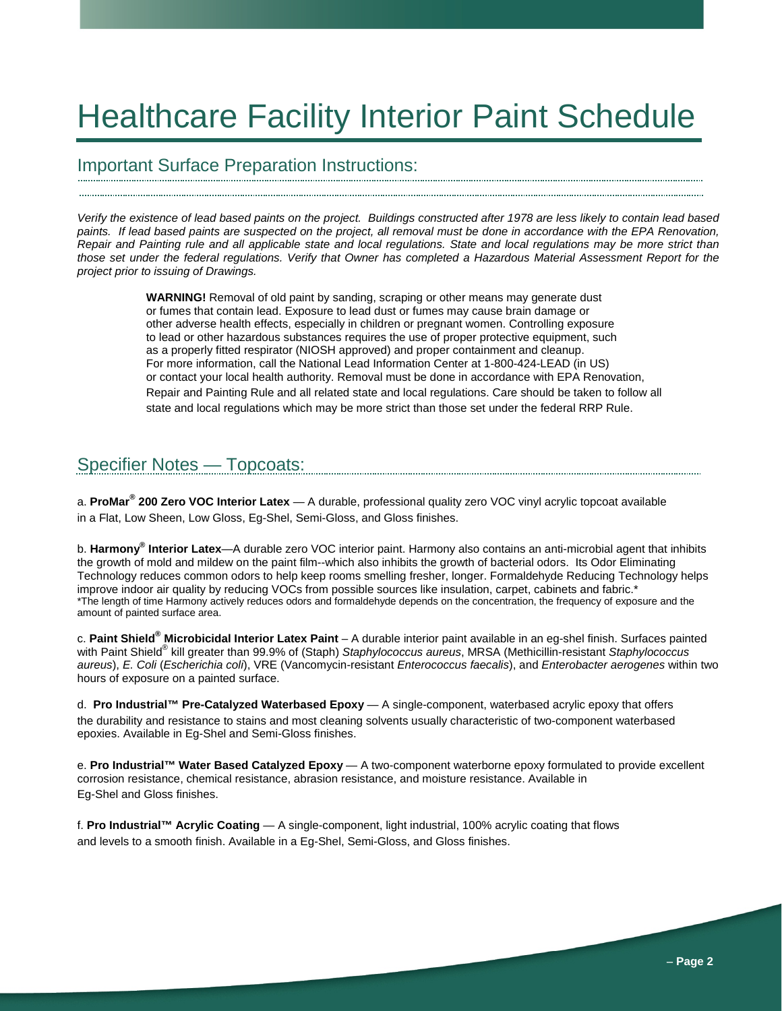## Healthcare Facility Interior Paint Schedule

### Important Surface Preparation Instructions:

*Verify the existence of lead based paints on the project. Buildings constructed after 1978 are less likely to contain lead based*  paints. If lead based paints are suspected on the project, all removal must be done in accordance with the EPA Renovation, *Repair and Painting rule and all applicable state and local regulations. State and local regulations may be more strict than those set under the federal regulations. Verify that Owner has completed a Hazardous Material Assessment Report for the project prior to issuing of Drawings.*

> **WARNING!** Removal of old paint by sanding, scraping or other means may generate dust or fumes that contain lead. Exposure to lead dust or fumes may cause brain damage or other adverse health effects, especially in children or pregnant women. Controlling exposure to lead or other hazardous substances requires the use of proper protective equipment, such as a properly fitted respirator (NIOSH approved) and proper containment and cleanup. For more information, call the National Lead Information Center at 1-800-424-LEAD (in US) or contact your local health authority. Removal must be done in accordance with EPA Renovation, Repair and Painting Rule and all related state and local regulations. Care should be taken to follow all state and local regulations which may be more strict than those set under the federal RRP Rule.

### Specifier Notes — Topcoats:

a. **ProMar® 200 Zero VOC Interior Latex** — A durable, professional quality zero VOC vinyl acrylic topcoat available in a Flat, Low Sheen, Low Gloss, Eg-Shel, Semi-Gloss, and Gloss finishes.

b. **Harmony® Interior Latex**—A durable zero VOC interior paint. Harmony also contains an anti-microbial agent that inhibits the growth of mold and mildew on the paint film--which also inhibits the growth of bacterial odors. Its Odor Eliminating Technology reduces common odors to help keep rooms smelling fresher, longer. Formaldehyde Reducing Technology helps improve indoor air quality by reducing VOCs from possible sources like insulation, carpet, cabinets and fabric.\* \*The length of time Harmony actively reduces odors and formaldehyde depends on the concentration, the frequency of exposure and the amount of painted surface area.

c. **Paint Shield® Microbicidal Interior Latex Paint** – A durable interior paint available in an eg-shel finish. Surfaces painted with Paint Shield® kill greater than 99.9% of (Staph) *Staphylococcus aureus*, MRSA (Methicillin-resistant *Staphylococcus aureus*), *E. Coli* (*Escherichia coli*), VRE (Vancomycin-resistant *Enterococcus faecalis*), and *Enterobacter aerogenes* within two hours of exposure on a painted surface.

d. **Pro Industrial™ Pre-Catalyzed Waterbased Epoxy** — A single-component, waterbased acrylic epoxy that offers the durability and resistance to stains and most cleaning solvents usually characteristic of two-component waterbased epoxies. Available in Eg-Shel and Semi-Gloss finishes.

e. **Pro Industrial™ Water Based Catalyzed Epoxy** — A two-component waterborne epoxy formulated to provide excellent corrosion resistance, chemical resistance, abrasion resistance, and moisture resistance. Available in Eg-Shel and Gloss finishes.

f. **Pro Industrial™ Acrylic Coating** — A single-component, light industrial, 100% acrylic coating that flows and levels to a smooth finish. Available in a Eg-Shel, Semi-Gloss, and Gloss finishes.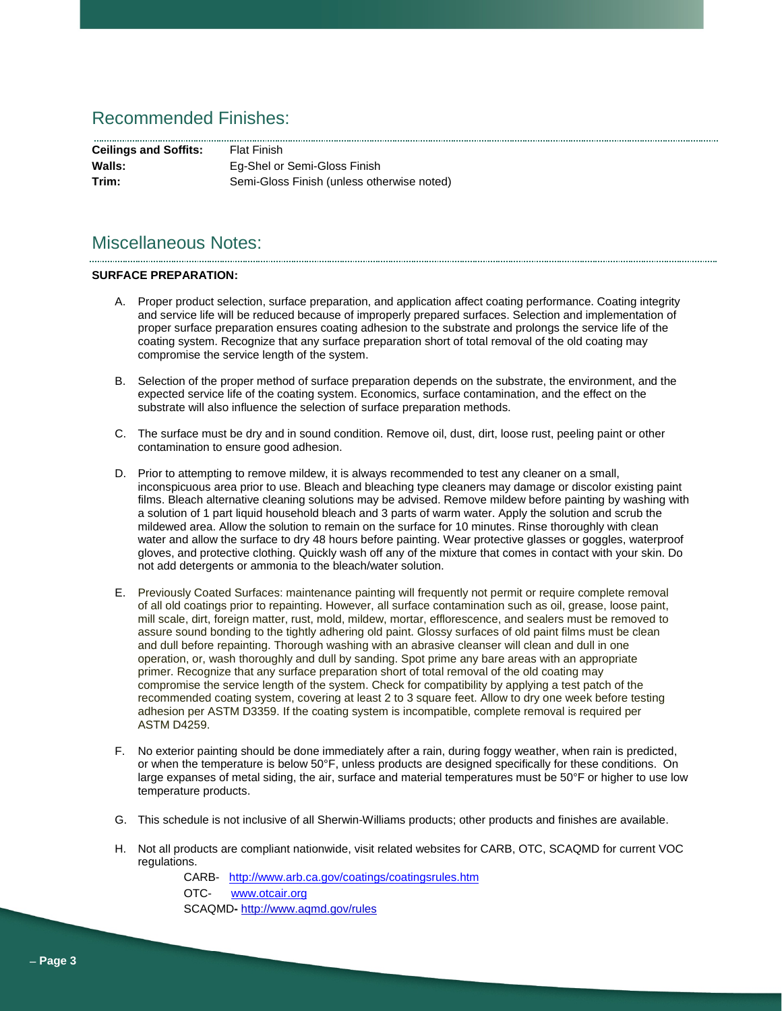### Recommended Finishes:

| <b>Ceilings and Soffits:</b> | Flat Finish                                |
|------------------------------|--------------------------------------------|
| Walls:                       | Eg-Shel or Semi-Gloss Finish               |
| Trim:                        | Semi-Gloss Finish (unless otherwise noted) |

### Miscellaneous Notes:

#### **SURFACE PREPARATION:**

A. Proper product selection, surface preparation, and application affect coating performance. Coating integrity and service life will be reduced because of improperly prepared surfaces. Selection and implementation of proper surface preparation ensures coating adhesion to the substrate and prolongs the service life of the coating system. Recognize that any surface preparation short of total removal of the old coating may compromise the service length of the system.

- B. Selection of the proper method of surface preparation depends on the substrate, the environment, and the expected service life of the coating system. Economics, surface contamination, and the effect on the substrate will also influence the selection of surface preparation methods.
- C. The surface must be dry and in sound condition. Remove oil, dust, dirt, loose rust, peeling paint or other contamination to ensure good adhesion.
- D. Prior to attempting to remove mildew, it is always recommended to test any cleaner on a small, inconspicuous area prior to use. Bleach and bleaching type cleaners may damage or discolor existing paint films. Bleach alternative cleaning solutions may be advised. Remove mildew before painting by washing with a solution of 1 part liquid household bleach and 3 parts of warm water. Apply the solution and scrub the mildewed area. Allow the solution to remain on the surface for 10 minutes. Rinse thoroughly with clean water and allow the surface to dry 48 hours before painting. Wear protective glasses or goggles, waterproof gloves, and protective clothing. Quickly wash off any of the mixture that comes in contact with your skin. Do not add detergents or ammonia to the bleach/water solution.
- E. Previously Coated Surfaces: maintenance painting will frequently not permit or require complete removal of all old coatings prior to repainting. However, all surface contamination such as oil, grease, loose paint, mill scale, dirt, foreign matter, rust, mold, mildew, mortar, efflorescence, and sealers must be removed to assure sound bonding to the tightly adhering old paint. Glossy surfaces of old paint films must be clean and dull before repainting. Thorough washing with an abrasive cleanser will clean and dull in one operation, or, wash thoroughly and dull by sanding. Spot prime any bare areas with an appropriate primer. Recognize that any surface preparation short of total removal of the old coating may compromise the service length of the system. Check for compatibility by applying a test patch of the recommended coating system, covering at least 2 to 3 square feet. Allow to dry one week before testing adhesion per ASTM D3359. If the coating system is incompatible, complete removal is required per ASTM D4259.
- F. No exterior painting should be done immediately after a rain, during foggy weather, when rain is predicted, or when the temperature is below 50°F, unless products are designed specifically for these conditions. On large expanses of metal siding, the air, surface and material temperatures must be 50°F or higher to use low temperature products.
- G. This schedule is not inclusive of all Sherwin-Williams products; other products and finishes are available.
- H. Not all products are compliant nationwide, visit related websites for CARB, OTC, SCAQMD for current VOC regulations.

CARB- <http://www.arb.ca.gov/coatings/coatingsrules.htm> OTC- [www.otcair.org](http://www.otcair.org/) SCAQMD**-** <http://www.aqmd.gov/rules>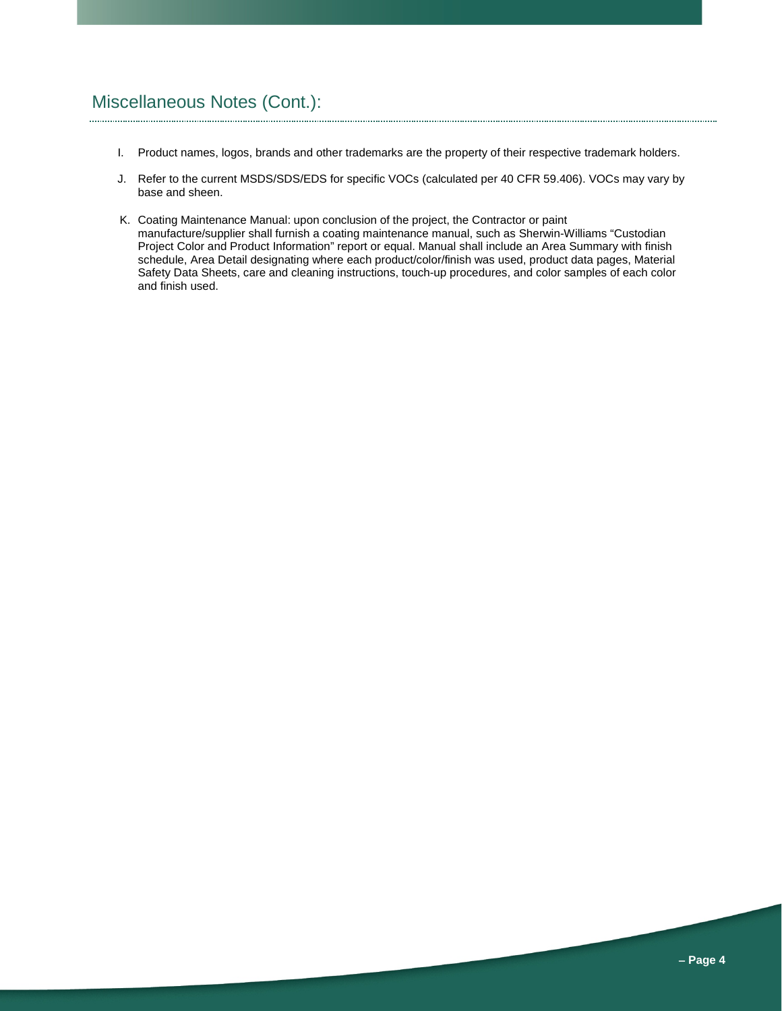### Miscellaneous Notes (Cont.):

- I. Product names, logos, brands and other trademarks are the property of their respective trademark holders.
- J. Refer to the current MSDS/SDS/EDS for specific VOCs (calculated per 40 CFR 59.406). VOCs may vary by base and sheen.
- K. Coating Maintenance Manual: upon conclusion of the project, the Contractor or paint manufacture/supplier shall furnish a coating maintenance manual, such as Sherwin-Williams "Custodian Project Color and Product Information" report or equal. Manual shall include an Area Summary with finish schedule, Area Detail designating where each product/color/finish was used, product data pages, Material Safety Data Sheets, care and cleaning instructions, touch-up procedures, and color samples of each color and finish used.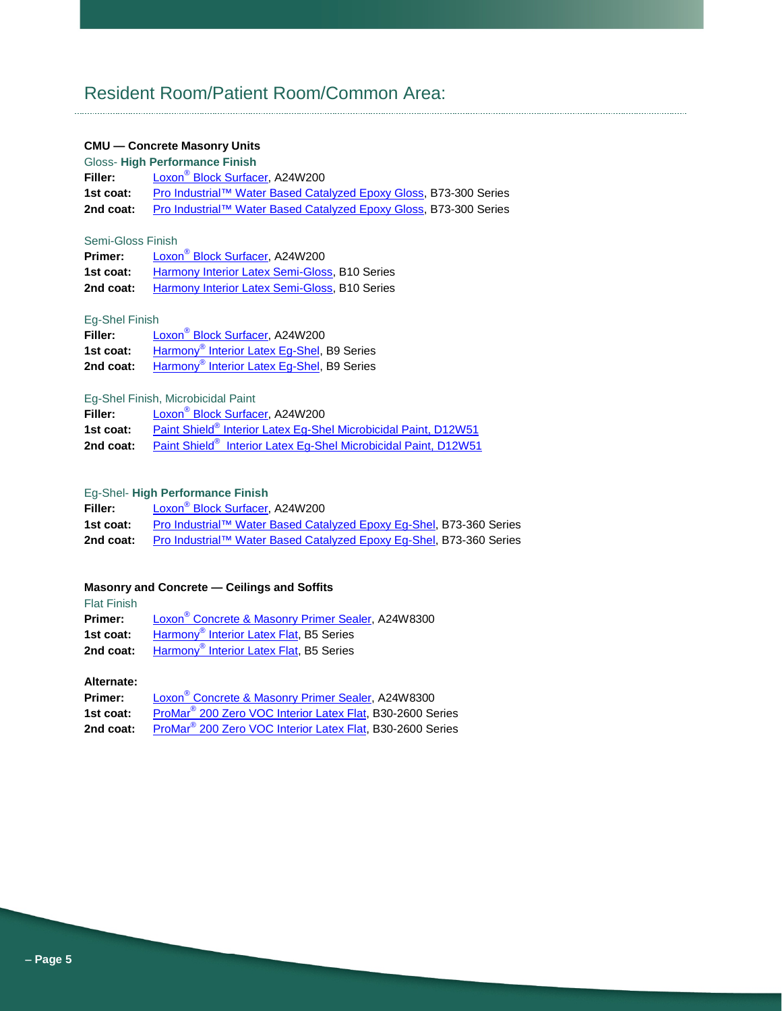### Resident Room/Patient Room/Common Area:

### **CMU — Concrete Masonry Units**

|                | Gloss-High Performance Finish                                     |
|----------------|-------------------------------------------------------------------|
| <b>Filler:</b> | Loxon <sup>®</sup> Block Surfacer, A24W200                        |
| 1st coat:      | Pro Industrial™ Water Based Catalyzed Epoxy Gloss, B73-300 Series |
| 2nd coat:      | Pro Industrial™ Water Based Catalyzed Epoxy Gloss, B73-300 Series |

### Semi-Gloss Finish

| <b>Primer:</b> | Loxon <sup>®</sup> Block Surfacer, A24W200           |
|----------------|------------------------------------------------------|
| 1st coat:      | <b>Harmony Interior Latex Semi-Gloss, B10 Series</b> |
| 2nd coat:      | <b>Harmony Interior Latex Semi-Gloss, B10 Series</b> |

### Eg-Shel Finish

| Filler:   | Loxon <sup>®</sup> Block Surfacer, A24W200             |
|-----------|--------------------------------------------------------|
| 1st coat: | Harmony <sup>®</sup> Interior Latex Eg-Shel, B9 Series |
| 2nd coat: | Harmony <sup>®</sup> Interior Latex Eg-Shel, B9 Series |

### Eg-Shel Finish, Microbicidal Paint

| Filler:   | Loxon <sup>®</sup> Block Surfacer, A24W200                                  |
|-----------|-----------------------------------------------------------------------------|
| 1st coat: | Paint Shield® Interior Latex Eg-Shel Microbicidal Paint, D12W51             |
| 2nd coat: | Paint Shield <sup>®</sup> Interior Latex Eg-Shel Microbicidal Paint, D12W51 |

### Eg-Shel- **High Performance Finish**

| Filler:   | Loxon <sup>®</sup> Block Surfacer, A24W200                          |
|-----------|---------------------------------------------------------------------|
| 1st coat: | Pro Industrial™ Water Based Catalyzed Epoxy Eq-Shel, B73-360 Series |
| 2nd coat: | Pro Industrial™ Water Based Catalyzed Epoxy Eq-Shel, B73-360 Series |

### **Masonry and Concrete — Ceilings and Soffits**

| Loxon <sup>®</sup> Concrete & Masonry Primer Sealer, A24W8300 |                                                     |
|---------------------------------------------------------------|-----------------------------------------------------|
|                                                               |                                                     |
| Harmony <sup>®</sup> Interior Latex Flat, B5 Series           |                                                     |
|                                                               | Harmony <sup>®</sup> Interior Latex Flat, B5 Series |

### **Alternate:**

| Primer:   | Loxon <sup>®</sup> Concrete & Masonry Primer Sealer, A24W8300         |
|-----------|-----------------------------------------------------------------------|
| 1st coat: | ProMar <sup>®</sup> 200 Zero VOC Interior Latex Flat, B30-2600 Series |
| 2nd coat: | ProMar <sup>®</sup> 200 Zero VOC Interior Latex Flat, B30-2600 Series |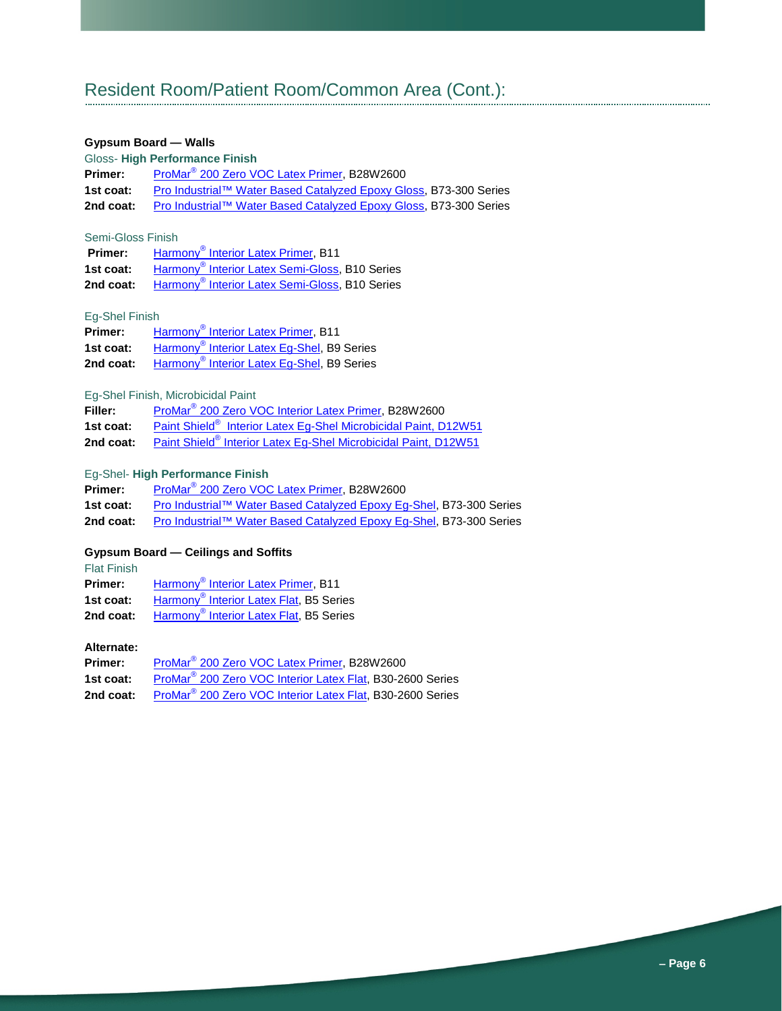## Resident Room/Patient Room/Common Area (Cont.):

### **Gypsum Board — Walls**

### Gloss- **High Performance Finish**

| <b>Primer:</b> | ProMar <sup>®</sup> 200 Zero VOC Latex Primer, B28W2600           |
|----------------|-------------------------------------------------------------------|
| 1st coat:      | Pro Industrial™ Water Based Catalyzed Epoxy Gloss, B73-300 Series |
| 2nd coat:      | Pro Industrial™ Water Based Catalyzed Epoxy Gloss, B73-300 Series |

### Semi-Gloss Finish

| <b>Primer:</b> | Harmony <sup>®</sup> Interior Latex Primer, B11            |
|----------------|------------------------------------------------------------|
| 1st coat:      | Harmony <sup>®</sup> Interior Latex Semi-Gloss, B10 Series |
| 2nd coat:      | Harmony <sup>®</sup> Interior Latex Semi-Gloss, B10 Series |

### Eg-Shel Finish

| <b>Primer:</b> | Harmony <sup>®</sup> Interior Latex Primer, B11        |
|----------------|--------------------------------------------------------|
| 1st coat:      | Harmony <sup>®</sup> Interior Latex Eq-Shel, B9 Series |
| 2nd coat:      | Harmony <sup>®</sup> Interior Latex Eg-Shel, B9 Series |

### Eg-Shel Finish, Microbicidal Paint

| <b>Filler:</b> | ProMar <sup>®</sup> 200 Zero VOC Interior Latex Primer, B28W2600            |  |  |
|----------------|-----------------------------------------------------------------------------|--|--|
| 1st coat:      | Paint Shield <sup>®</sup> Interior Latex Eq-Shel Microbicidal Paint, D12W51 |  |  |
| 2nd coat:      | Paint Shield® Interior Latex Eg-Shel Microbicidal Paint, D12W51             |  |  |

### Eg-Shel- **High Performance Finish**

| Primer:   | ProMar <sup>®</sup> 200 Zero VOC Latex Primer, B28W2600             |  |  |
|-----------|---------------------------------------------------------------------|--|--|
| 1st coat: | Pro Industrial™ Water Based Catalyzed Epoxy Eg-Shel, B73-300 Series |  |  |
| 2nd coat: | Pro Industrial™ Water Based Catalyzed Epoxy Eg-Shel, B73-300 Series |  |  |

### **Gypsum Board — Ceilings and Soffits**

Flat Finish

| Primer:   | Harmony <sup>®</sup> Interior Latex Primer, B11     |
|-----------|-----------------------------------------------------|
| 1st coat: | Harmony <sup>®</sup> Interior Latex Flat, B5 Series |
| 2nd coat: | Harmony <sup>®</sup> Interior Latex Flat, B5 Series |

### **Alternate:**

| Primer:   | ProMar <sup>®</sup> 200 Zero VOC Latex Primer, B28W2600               |
|-----------|-----------------------------------------------------------------------|
| 1st coat: | ProMar <sup>®</sup> 200 Zero VOC Interior Latex Flat, B30-2600 Series |
| 2nd coat: | ProMar <sup>®</sup> 200 Zero VOC Interior Latex Flat, B30-2600 Series |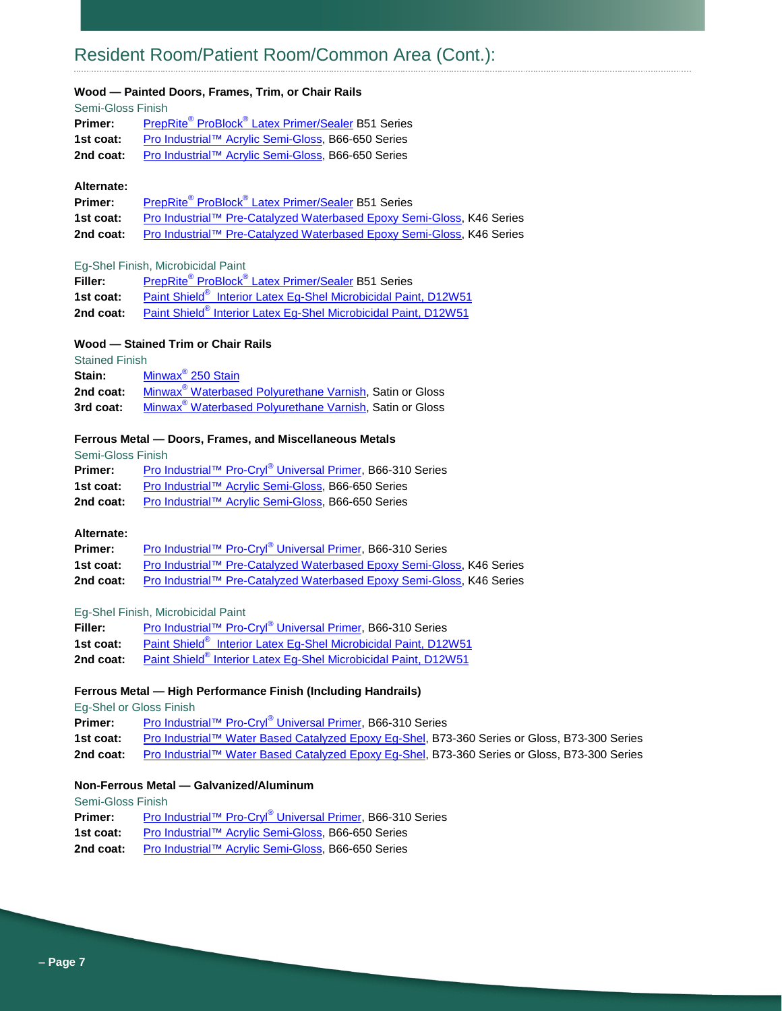### Resident Room/Patient Room/Common Area (Cont.):

### **Wood — Painted Doors, Frames, Trim, or Chair Rails**

Semi-Gloss Finish

| <b>Primer:</b> | PrepRite <sup>®</sup> ProBlock <sup>®</sup> Latex Primer/Sealer B51 Series |
|----------------|----------------------------------------------------------------------------|
| 1st coat:      | Pro Industrial™ Acrylic Semi-Gloss, B66-650 Series                         |
| 2nd coat:      | Pro Industrial™ Acrylic Semi-Gloss, B66-650 Series                         |

#### **Alternate:**

| <b>Primer:</b> | PrepRite <sup>®</sup> ProBlock <sup>®</sup> Latex Primer/Sealer B51 Series |
|----------------|----------------------------------------------------------------------------|
| 1st coat:      | Pro Industrial™ Pre-Catalyzed Waterbased Epoxy Semi-Gloss, K46 Series      |
| 2nd coat:      | Pro Industrial™ Pre-Catalyzed Waterbased Epoxy Semi-Gloss, K46 Series      |

#### Eg-Shel Finish, Microbicidal Paint

| <b>Filler:</b> | PrepRite <sup>®</sup> ProBlock <sup>®</sup> Latex Primer/Sealer B51 Series  |  |  |
|----------------|-----------------------------------------------------------------------------|--|--|
| 1st coat:      | Paint Shield <sup>®</sup> Interior Latex Eg-Shel Microbicidal Paint, D12W51 |  |  |
| 2nd coat:      | Paint Shield <sup>®</sup> Interior Latex Eg-Shel Microbicidal Paint, D12W51 |  |  |

### **Wood — Stained Trim or Chair Rails**

Stained Finish

| Stain:    | Minwax <sup>®</sup> 250 Stain                                       |
|-----------|---------------------------------------------------------------------|
| 2nd coat: | Minwax <sup>®</sup> Waterbased Polyurethane Varnish, Satin or Gloss |
| 3rd coat: | Minwax <sup>®</sup> Waterbased Polyurethane Varnish, Satin or Gloss |

### **Ferrous Metal — Doors, Frames, and Miscellaneous Metals**

Semi-Gloss Finish

| <b>Primer:</b> | Pro Industrial™ Pro-Cryl® Universal Primer, B66-310 Series |
|----------------|------------------------------------------------------------|
| 1st coat:      | Pro Industrial™ Acrylic Semi-Gloss, B66-650 Series         |
| 2nd coat:      | Pro Industrial™ Acrylic Semi-Gloss, B66-650 Series         |

### **Alternate:**

| Primer:   | Pro Industrial™ Pro-Cryl® Universal Primer, B66-310 Series            |
|-----------|-----------------------------------------------------------------------|
| 1st coat: | Pro Industrial™ Pre-Catalyzed Waterbased Epoxy Semi-Gloss, K46 Series |
| 2nd coat: | Pro Industrial™ Pre-Catalyzed Waterbased Epoxy Semi-Gloss, K46 Series |

#### Eg-Shel Finish, Microbicidal Paint

| Filler: | Pro Industrial™ Pro-Cryl® Universal Primer, B66-310 Series |
|---------|------------------------------------------------------------|
|         |                                                            |

1st coat: Paint Shield<sup>®</sup> [Interior Latex Eg-Shel Microbicidal Paint, D12W51](http://www.swpaintshield.com/)

2nd coat: Paint Shield<sup>®</sup> [Interior Latex Eg-Shel Microbicidal Paint, D12W51](http://www.swpaintshield.com/)

### **Ferrous Metal — High Performance Finish (Including Handrails)**

Eg-Shel or Gloss Finish

**Primer:** Pro Industrial™ Pro-Cryl<sup>®</sup> [Universal Primer,](http://www.sherwin-williams.com/document/PDS/en/035777467329/) B66-310 Series

**1st coat:** Pro Industrial™ [Water Based Catalyzed Epoxy Eg-Shel,](http://www.sherwin-williams.com/document/PDS/en/035777055595/) B73-360 Series or Gloss, B73-300 Series

**2nd coat:** Pro Industrial™ [Water Based Catalyzed Epoxy Eg-Shel,](http://www.sherwin-williams.com/document/PDS/en/035777055595/) B73-360 Series or Gloss, B73-300 Series

### **Non-Ferrous Metal — Galvanized/Aluminum**

Semi-Gloss Finish

**Primer:** Pro Industrial™ Pro-Cryl<sup>®</sup> [Universal Primer,](http://www.sherwin-williams.com/document/PDS/en/035777467329/) B66-310 Series

1st coat: Pro Industrial™ [Acrylic Semi-Gloss,](http://www.sherwin-williams.com/document/PDS/en/035777022917/) B66-650 Series

2nd coat: Pro Industrial™ [Acrylic Semi-Gloss,](http://www.sherwin-williams.com/document/PDS/en/035777022917/) B66-650 Series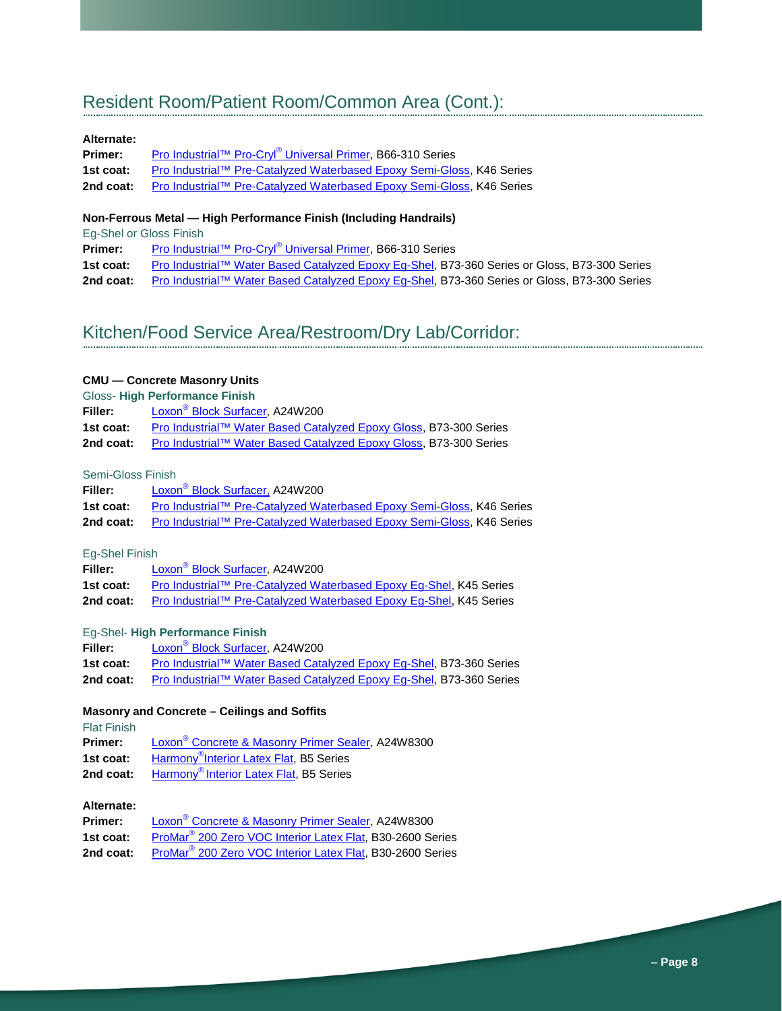### Resident Room/Patient Room/Common Area (Cont.):

### **Alternate:**

| <b>Primer:</b> | Pro Industrial™ Pro-Cryl® Universal Primer, B66-310 Series            |
|----------------|-----------------------------------------------------------------------|
| 1st coat:      | Pro Industrial™ Pre-Catalyzed Waterbased Epoxy Semi-Gloss, K46 Series |
| 2nd coat:      | Pro Industrial™ Pre-Catalyzed Waterbased Epoxy Semi-Gloss, K46 Series |

### **Non-Ferrous Metal — High Performance Finish (Including Handrails)**

Eg-Shel or Gloss Finish

| <b>Primer:</b> | Pro Industrial™ Pro-Cryl <sup>®</sup> Universal Primer, B66-310 Series |
|----------------|------------------------------------------------------------------------|
|                |                                                                        |

1st coat: Pro Industrial™ [Water Based Catalyzed Epoxy Eg-Shel,](http://www.sherwin-williams.com/document/PDS/en/035777055595/) B73-360 Series or Gloss, B73-300 Series

2nd coat: Pro Industrial™ [Water Based Catalyzed Epoxy Eg-Shel,](http://www.sherwin-williams.com/document/PDS/en/035777055595/) B73-360 Series or Gloss, B73-300 Series

### Kitchen/Food Service Area/Restroom/Dry Lab/Corridor:

### **CMU — Concrete Masonry Units**

| <b>Gloss-High Performance Finish</b> |                                                                   |
|--------------------------------------|-------------------------------------------------------------------|
| <b>Filler:</b>                       | Loxon <sup>®</sup> Block Surfacer, A24W200                        |
| 1st coat:                            | Pro Industrial™ Water Based Catalyzed Epoxy Gloss, B73-300 Series |
| 2nd coat:                            | Pro Industrial™ Water Based Catalyzed Epoxy Gloss, B73-300 Series |

### Semi-Gloss Finish

| Filler:   | Loxon <sup>®</sup> Block Surfacer, A24W200                            |
|-----------|-----------------------------------------------------------------------|
| 1st coat: | Pro Industrial™ Pre-Catalyzed Waterbased Epoxy Semi-Gloss, K46 Series |
| 2nd coat: | Pro Industrial™ Pre-Catalyzed Waterbased Epoxy Semi-Gloss, K46 Series |

### Eg-Shel Finish

| Filler:   | Loxon <sup>®</sup> Block Surfacer, A24W200                         |
|-----------|--------------------------------------------------------------------|
| 1st coat: | Pro Industrial™ Pre-Catalyzed Waterbased Epoxy Eq-Shel, K45 Series |
| 2nd coat: | Pro Industrial™ Pre-Catalyzed Waterbased Epoxy Eq-Shel, K45 Series |

### Eg-Shel- **High Performance Finish**

| Filler:   | Loxon <sup>®</sup> Block Surfacer, A24W200                          |
|-----------|---------------------------------------------------------------------|
| 1st coat: | Pro Industrial™ Water Based Catalyzed Epoxy Eg-Shel, B73-360 Series |
| 2nd coat: | Pro Industrial™ Water Based Catalyzed Epoxy Eq-Shel, B73-360 Series |

### **Masonry and Concrete – Ceilings and Soffits**

| <b>Flat Finish</b> |                                                               |
|--------------------|---------------------------------------------------------------|
| Primer:            | Loxon <sup>®</sup> Concrete & Masonry Primer Sealer, A24W8300 |
| 1st coat:          | Harmony <sup>®</sup> Interior Latex Flat, B5 Series           |
|                    | 2nd coat: Harmony <sup>®</sup> Interior Latex Flat, B5 Series |

#### **Alternate:**

| Primer:   | Loxon <sup>®</sup> Concrete & Masonry Primer Sealer, A24W8300         |
|-----------|-----------------------------------------------------------------------|
| 1st coat: | ProMar <sup>®</sup> 200 Zero VOC Interior Latex Flat, B30-2600 Series |
| 2nd coat: | ProMar <sup>®</sup> 200 Zero VOC Interior Latex Flat, B30-2600 Series |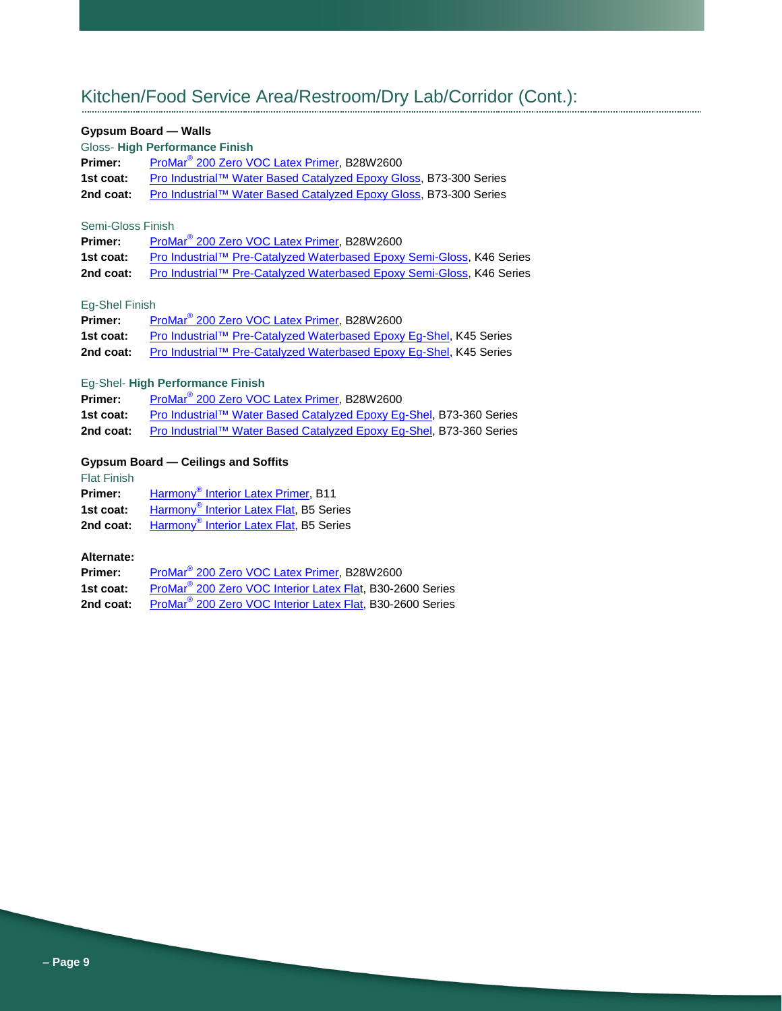## Kitchen/Food Service Area/Restroom/Dry Lab/Corridor (Cont.):

### **Gypsum Board — Walls**

|           | Gloss-High Performance Finish                                     |
|-----------|-------------------------------------------------------------------|
| Primer:   | ProMar <sup>®</sup> 200 Zero VOC Latex Primer, B28W2600           |
| 1st coat: | Pro Industrial™ Water Based Catalyzed Epoxy Gloss, B73-300 Series |
| 2nd coat: | Pro Industrial™ Water Based Catalyzed Epoxy Gloss, B73-300 Series |

### Semi-Gloss Finish

| <b>Primer:</b> | ProMar <sup>®</sup> 200 Zero VOC Latex Primer, B28W2600               |
|----------------|-----------------------------------------------------------------------|
| 1st coat:      | Pro Industrial™ Pre-Catalyzed Waterbased Epoxy Semi-Gloss, K46 Series |
| 2nd coat:      | Pro Industrial™ Pre-Catalyzed Waterbased Epoxy Semi-Gloss, K46 Series |

### Eg-Shel Finish

| <b>Primer:</b> | ProMar <sup>®</sup> 200 Zero VOC Latex Primer, B28W2600            |
|----------------|--------------------------------------------------------------------|
| 1st coat:      | Pro Industrial™ Pre-Catalyzed Waterbased Epoxy Eq-Shel, K45 Series |
| 2nd coat:      | Pro Industrial™ Pre-Catalyzed Waterbased Epoxy Eq-Shel, K45 Series |

### Eg-Shel- **High Performance Finish**

| <b>Primer:</b> | ProMar <sup>®</sup> 200 Zero VOC Latex Primer, B28W2600             |
|----------------|---------------------------------------------------------------------|
| 1st coat:      | Pro Industrial™ Water Based Catalyzed Epoxy Eq-Shel, B73-360 Series |
| 2nd coat:      | Pro Industrial™ Water Based Catalyzed Epoxy Eq-Shel, B73-360 Series |

### **Gypsum Board — Ceilings and Soffits**

Flat Finish

| Primer:   | Harmony <sup>®</sup> Interior Latex Primer, B11     |
|-----------|-----------------------------------------------------|
| 1st coat: | Harmony <sup>®</sup> Interior Latex Flat, B5 Series |
| 2nd coat: | Harmony <sup>®</sup> Interior Latex Flat, B5 Series |

### **Alternate:**

| Primer:   | ProMar <sup>®</sup> 200 Zero VOC Latex Primer, B28W2600               |
|-----------|-----------------------------------------------------------------------|
| 1st coat: | ProMar <sup>®</sup> 200 Zero VOC Interior Latex Flat, B30-2600 Series |
| 2nd coat: | ProMar <sup>®</sup> 200 Zero VOC Interior Latex Flat, B30-2600 Series |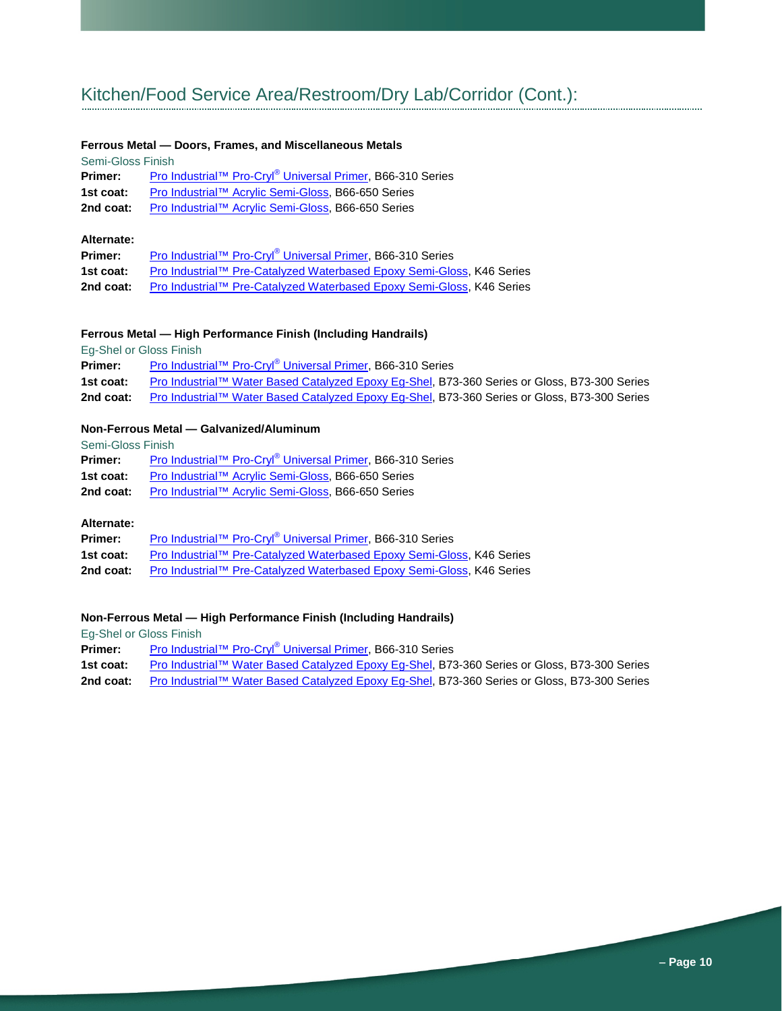### Kitchen/Food Service Area/Restroom/Dry Lab/Corridor (Cont.):

#### **Ferrous Metal — Doors, Frames, and Miscellaneous Metals**

Semi-Gloss Finish

| <b>Primer:</b> | Pro Industrial™ Pro-Cryl® Universal Primer, B66-310 Series |
|----------------|------------------------------------------------------------|
| 1st coat:      | Pro Industrial™ Acrylic Semi-Gloss, B66-650 Series         |
| 2nd coat:      | Pro Industrial™ Acrylic Semi-Gloss, B66-650 Series         |
|                |                                                            |

### **Alternate:**

| Primer:   | Pro Industrial™ Pro-Cryl <sup>®</sup> Universal Primer, B66-310 Series |
|-----------|------------------------------------------------------------------------|
| 1st coat: | Pro Industrial™ Pre-Catalyzed Waterbased Epoxy Semi-Gloss, K46 Series  |
| 2nd coat: | Pro Industrial™ Pre-Catalyzed Waterbased Epoxy Semi-Gloss, K46 Series  |

### **Ferrous Metal — High Performance Finish (Including Handrails)**

Eg-Shel or Gloss Finish

**Primer:** Pro Industrial™ Pro-Cryl® [Universal Primer,](http://www.sherwin-williams.com/document/PDS/en/035777467329/) B66-310 Series **1st coat:** Pro Industrial™ [Water Based Catalyzed Epoxy Eg-Shel,](http://www.sherwin-williams.com/document/PDS/en/035777055595/) B73-360 Series or Gloss, B73-300 Series **2nd coat:** Pro Industrial™ [Water Based Catalyzed Epoxy Eg-Shel,](http://www.sherwin-williams.com/document/PDS/en/035777055595/) B73-360 Series or Gloss, B73-300 Series

### **Non-Ferrous Metal — Galvanized/Aluminum**

Semi-Gloss Finish

| <b>Primer:</b> | Pro Industrial™ Pro-Cryl® Universal Primer, B66-310 Series   |
|----------------|--------------------------------------------------------------|
| 1st coat:      | Pro Industrial™ Acrylic Semi-Gloss, B66-650 Series           |
|                | 2nd coat: Pro Industrial™ Acrylic Semi-Gloss, B66-650 Series |

#### **Alternate:**

| Primer:   | Pro Industrial™ Pro-Cryl® Universal Primer, B66-310 Series            |
|-----------|-----------------------------------------------------------------------|
| 1st coat: | Pro Industrial™ Pre-Catalyzed Waterbased Epoxy Semi-Gloss, K46 Series |
| 2nd coat: | Pro Industrial™ Pre-Catalyzed Waterbased Epoxy Semi-Gloss, K46 Series |

### **Non-Ferrous Metal — High Performance Finish (Including Handrails)**

Eg-Shel or Gloss Finish

- **Primer:** Pro Industrial™ Pro-Cryl<sup>®</sup> [Universal Primer,](http://www.sherwin-williams.com/document/PDS/en/035777467329/) B66-310 Series
- **1st coat:** Pro Industrial™ [Water Based Catalyzed Epoxy Eg-Shel,](http://www.sherwin-williams.com/document/PDS/en/035777055595/) B73-360 Series or Gloss, B73-300 Series
- 2nd coat: Pro Industrial™ [Water Based Catalyzed Epoxy Eg-Shel,](http://www.sherwin-williams.com/document/PDS/en/035777055595/) B73-360 Series or Gloss, B73-300 Series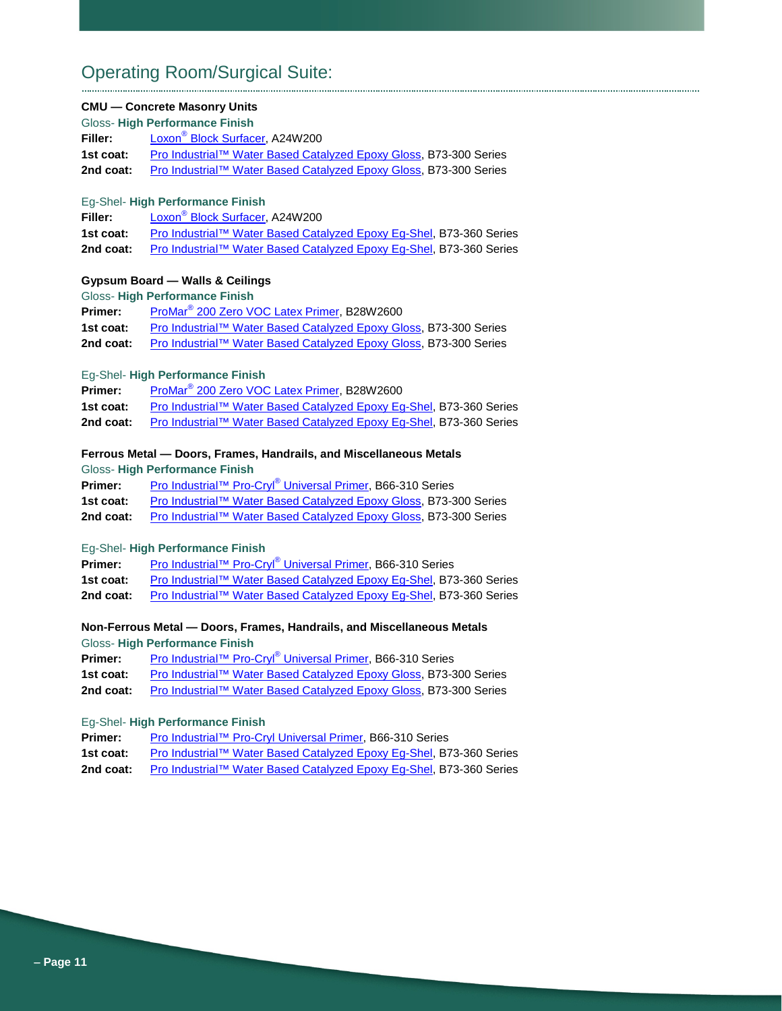### Operating Room/Surgical Suite:

### **CMU — Concrete Masonry Units**

### Gloss- **High Performance Finish**

| Filler:   | Loxon <sup>®</sup> Block Surfacer, A24W200                        |
|-----------|-------------------------------------------------------------------|
| 1st coat: | Pro Industrial™ Water Based Catalyzed Epoxy Gloss, B73-300 Series |
| 2nd coat: | Pro Industrial™ Water Based Catalyzed Epoxy Gloss, B73-300 Series |

#### Eg-Shel- **High Performance Finish**

| Filler:   | Loxon <sup>®</sup> Block Surfacer, A24W200                          |
|-----------|---------------------------------------------------------------------|
| 1st coat: | Pro Industrial™ Water Based Catalyzed Epoxy Eq-Shel, B73-360 Series |
| 2nd coat: | Pro Industrial™ Water Based Catalyzed Epoxy Eq-Shel, B73-360 Series |

### **Gypsum Board — Walls & Ceilings**

Gloss- **High Performance Finish**

| <b>Primer:</b> | ProMar <sup>®</sup> 200 Zero VOC Latex Primer, B28W2600           |
|----------------|-------------------------------------------------------------------|
| 1st coat:      | Pro Industrial™ Water Based Catalyzed Epoxy Gloss, B73-300 Series |
| 2nd coat:      | Pro Industrial™ Water Based Catalyzed Epoxy Gloss, B73-300 Series |

### Eg-Shel- **High Performance Finish**

| Primer:   | ProMar <sup>®</sup> 200 Zero VOC Latex Primer, B28W2600             |
|-----------|---------------------------------------------------------------------|
| 1st coat: | Pro Industrial™ Water Based Catalyzed Epoxy Eq-Shel, B73-360 Series |
| 2nd coat: | Pro Industrial™ Water Based Catalyzed Epoxy Eq-Shel, B73-360 Series |

#### **Ferrous Metal — Doors, Frames, Handrails, and Miscellaneous Metals**

Gloss- **High Performance Finish**

| <b>Primer:</b> | Pro Industrial™ Pro-Cryl® Universal Primer, B66-310 Series        |
|----------------|-------------------------------------------------------------------|
| 1st coat:      | Pro Industrial™ Water Based Catalyzed Epoxy Gloss, B73-300 Series |
| 2nd coat:      | Pro Industrial™ Water Based Catalyzed Epoxy Gloss, B73-300 Series |

### Eg-Shel- **High Performance Finish**

| <b>Primer:</b> | Pro Industrial™ Pro-Cryl <sup>®</sup> Universal Primer, B66-310 Series |
|----------------|------------------------------------------------------------------------|
| 1st coat:      | Pro Industrial™ Water Based Catalyzed Epoxy Eg-Shel, B73-360 Series    |
| 2nd coat:      | Pro Industrial™ Water Based Catalyzed Epoxy Eq-Shel, B73-360 Series    |

#### **Non-Ferrous Metal — Doors, Frames, Handrails, and Miscellaneous Metals**

Gloss- **High Performance Finish**

| <b>Primer:</b> | Pro Industrial™ Pro-Cryl® Universal Primer, B66-310 Series        |
|----------------|-------------------------------------------------------------------|
| 1st coat:      | Pro Industrial™ Water Based Catalyzed Epoxy Gloss, B73-300 Series |
| 2nd coat:      | Pro Industrial™ Water Based Catalyzed Epoxy Gloss, B73-300 Series |

#### Eg-Shel- **High Performance Finish**

Primer: Pro Industrial™ [Pro-Cryl Universal Primer,](http://www.sherwin-williams.com/document/PDS/en/035777467329/) B66-310 Series

1st coat: Pro Industrial™ [Water Based Catalyzed Epoxy Eg-Shel,](http://www.sherwin-williams.com/document/PDS/en/035777055595/) B73-360 Series

2nd coat: Pro Industrial<sup>™</sup> [Water Based Catalyzed Epoxy Eg-Shel,](http://www.sherwin-williams.com/document/PDS/en/035777055595/) B73-360 Series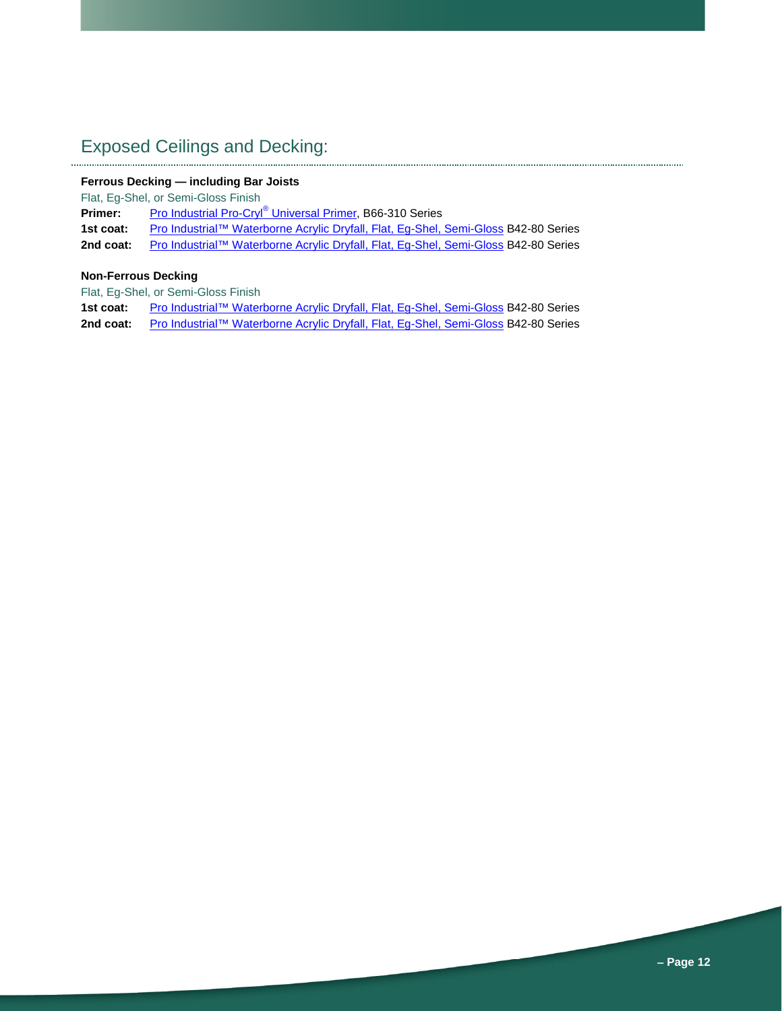### Exposed Ceilings and Decking:

### **Ferrous Decking — including Bar Joists**

Flat, Eg-Shel, or Semi-Gloss Finish

**Primer:** [Pro Industrial Pro-Cryl](http://www.sherwin-williams.com/document/PDS/en/035777467329/)® Universal Primer, B66-310 Series

**1st coat:** Pro Industrial™ [Waterborne Acrylic Dryfall, Flat, Eg-Shel, Semi-Gloss](http://www.sherwin-williams.com/document/PDS/en/035777045664/) B42-80 Series

2nd coat: Pro Industrial™ [Waterborne Acrylic Dryfall, Flat, Eg-Shel, Semi-Gloss](http://www.sherwin-williams.com/document/PDS/en/035777045664/) B42-80 Series

### **Non-Ferrous Decking**

Flat, Eg-Shel, or Semi-Gloss Finish

| 1st coat: | Pro Industrial™ Waterborne Acrylic Dryfall, Flat, Eg-Shel, Semi-Gloss B42-80 Series        |
|-----------|--------------------------------------------------------------------------------------------|
| 2nd coat: | <b>Pro Industrial™ Waterborne Acrylic Dryfall, Flat, Eg-Shel, Semi-Gloss B42-80 Series</b> |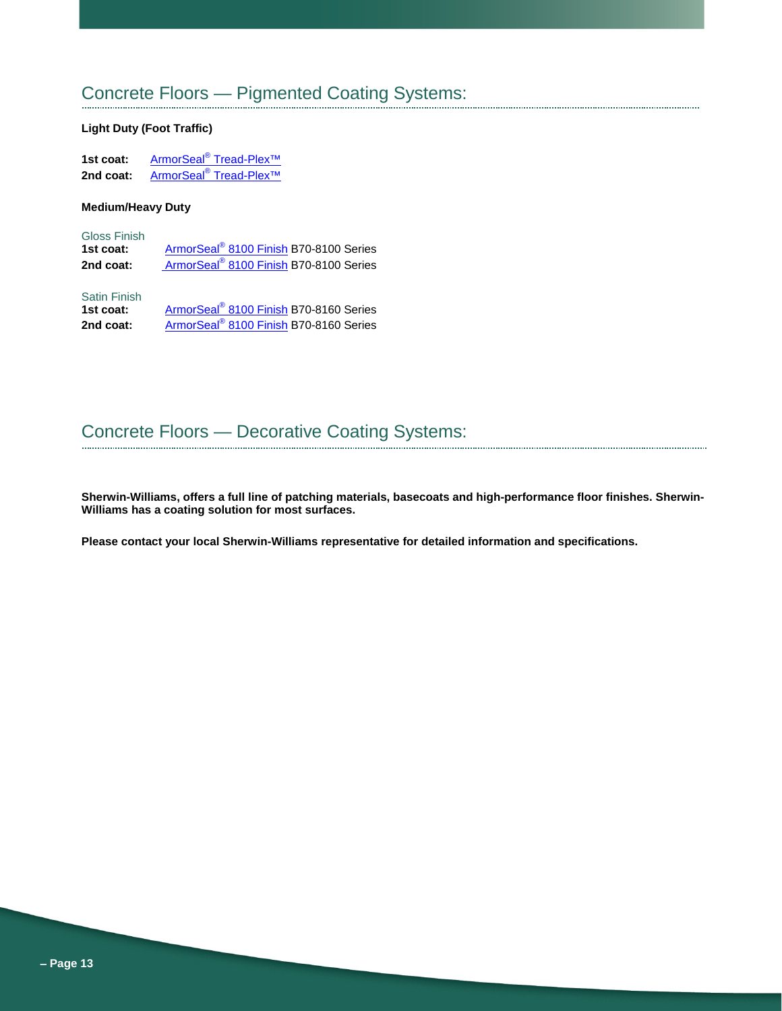### Concrete Floors — Pigmented Coating Systems:

### **Light Duty (Foot Traffic)**

1st coat: ArmorSeal<sup>®</sup> Tread-Plex<sup>™</sup> 2nd coat: **ArmorSeal<sup>®</sup> Tread-Plex<sup>™</sup>** 

#### **Medium/Heavy Duty**

Gloss Finish<br>**1st coat:** 

**1st coat:** ArmorSeal® [8100 Finish](http://www.paintdocs.com/docs/webPDF.jsp?SITEID=STORECAT&doctype=PDS&lang=E&prodno=B708100) B70-8100 Series 2nd coat: ArmorSeal<sup>®</sup> [8100 Finish](http://www.paintdocs.com/docs/webPDF.jsp?SITEID=STORECAT&doctype=PDS&lang=E&prodno=B708100) B70-8100 Series

Satin Finish<br>**1st coat:** ArmorSeal<sup>®</sup> [8100 Finish](http://www.paintdocs.com/docs/webPDF.jsp?SITEID=STORECAT&doctype=PDS&lang=E&prodno=B708100) B70-8160 Series 2nd coat: ArmorSeal<sup>®</sup> [8100 Finish](http://www.paintdocs.com/docs/webPDF.jsp?SITEID=STORECAT&doctype=PDS&lang=E&prodno=B708100) B70-8160 Series

### Concrete Floors — Decorative Coating Systems:

**Sherwin-Williams, offers a full line of patching materials, basecoats and high-performance floor finishes. Sherwin-Williams has a coating solution for most surfaces.** 

**Please contact your local Sherwin-Williams representative for detailed information and specifications.**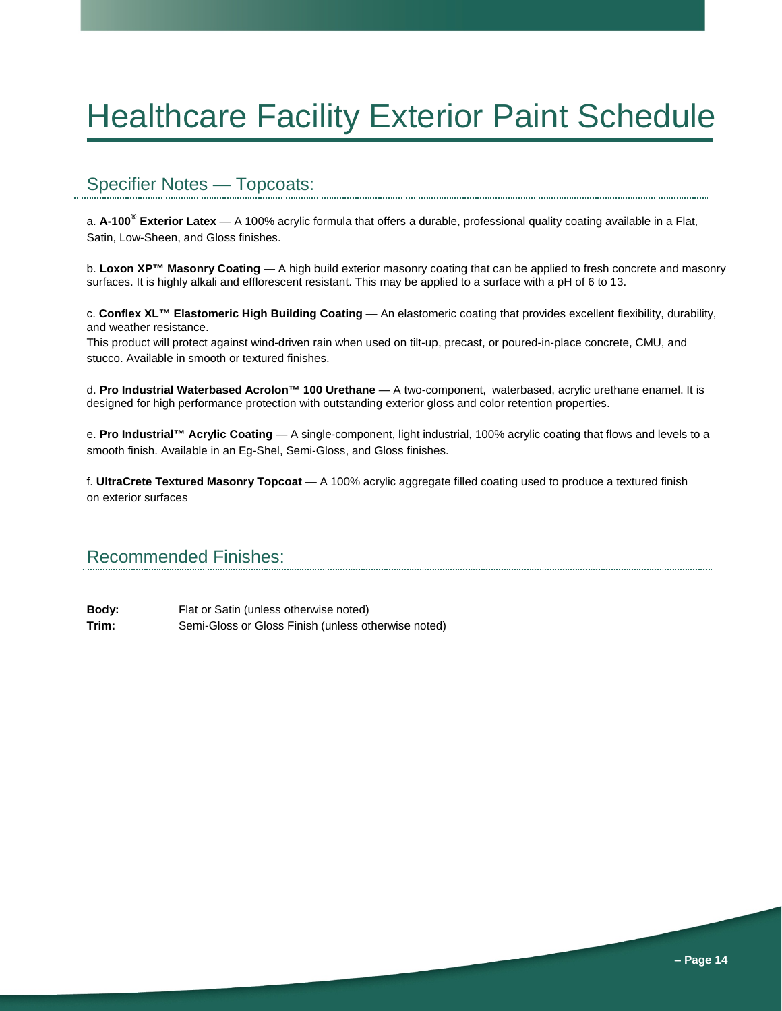# Healthcare Facility Exterior Paint Schedule

### Specifier Notes — Topcoats:

a. **A-100® Exterior Latex** — A 100% acrylic formula that offers a durable, professional quality coating available in a Flat, Satin, Low-Sheen, and Gloss finishes.

b. **Loxon XP™ Masonry Coating** — A high build exterior masonry coating that can be applied to fresh concrete and masonry surfaces. It is highly alkali and efflorescent resistant. This may be applied to a surface with a pH of 6 to 13.

c. **Conflex XL™ Elastomeric High Building Coating** — An elastomeric coating that provides excellent flexibility, durability, and weather resistance.

This product will protect against wind-driven rain when used on tilt-up, precast, or poured-in-place concrete, CMU, and stucco. Available in smooth or textured finishes.

d. **Pro Industrial Waterbased Acrolon™ 100 Urethane** — A two-component, waterbased, acrylic urethane enamel. It is designed for high performance protection with outstanding exterior gloss and color retention properties.

e. **Pro Industrial™ Acrylic Coating** — A single-component, light industrial, 100% acrylic coating that flows and levels to a smooth finish. Available in an Eg-Shel, Semi-Gloss, and Gloss finishes.

f. **UltraCrete Textured Masonry Topcoat** — A 100% acrylic aggregate filled coating used to produce a textured finish on exterior surfaces

### Recommended Finishes:

- **Body:** Flat or Satin (unless otherwise noted)
- **Trim:** Semi-Gloss or Gloss Finish (unless otherwise noted)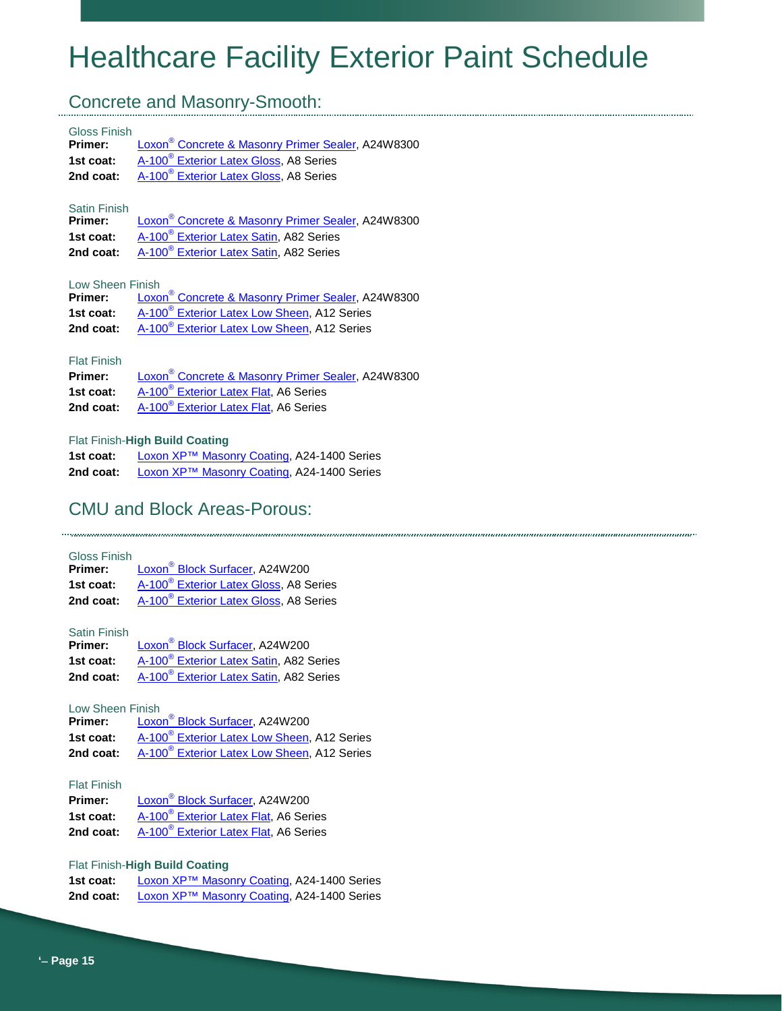## Healthcare Facility Exterior Paint Schedule

### Concrete and Masonry-Smooth:

#### Gloss Finish

| Primer:   | Loxon <sup>®</sup> Concrete & Masonry Primer Sealer, A24W8300 |
|-----------|---------------------------------------------------------------|
| 1st coat: | A-100 <sup>®</sup> Exterior Latex Gloss, A8 Series            |
| 2nd coat: | A-100 <sup>®</sup> Exterior Latex Gloss, A8 Series            |

### Satin Finish

| Primer:   | Loxon <sup>®</sup> Concrete & Masonry Primer Sealer, A24W8300 |
|-----------|---------------------------------------------------------------|
| 1st coat: | A-100 <sup>®</sup> Exterior Latex Satin, A82 Series           |
|           | 2nd coat: A-100 <sup>®</sup> Exterior Latex Satin, A82 Series |

#### Low Sheen Finish

| Primer:   | Loxon <sup>®</sup> Concrete & Masonry Primer Sealer, A24W8300 |
|-----------|---------------------------------------------------------------|
| 1st coat: | A-100 <sup>®</sup> Exterior Latex Low Sheen, A12 Series       |
| 2nd coat: | A-100 <sup>®</sup> Exterior Latex Low Sheen, A12 Series       |

### Flat Finish

| Primer:   | Loxon <sup>®</sup> Concrete & Masonry Primer Sealer, A24W8300 |
|-----------|---------------------------------------------------------------|
| 1st coat: | A-100 <sup>®</sup> Exterior Latex Flat, A6 Series             |
| 2nd coat: | A-100 <sup>®</sup> Exterior Latex Flat, A6 Series             |

#### Flat Finish-**High Build Coating**

| 1st coat: | Loxon XP™ Masonry Coating, A24-1400 Series |
|-----------|--------------------------------------------|
| 2nd coat: | Loxon XP™ Masonry Coating, A24-1400 Series |

### CMU and Block Areas-Porous:

#### Gloss Finish

| Primer:   | Loxon <sup>®</sup> Block Surfacer, A24W200         |
|-----------|----------------------------------------------------|
| 1st coat: | A-100 <sup>®</sup> Exterior Latex Gloss, A8 Series |
| 2nd coat: | A-100 <sup>®</sup> Exterior Latex Gloss, A8 Series |

| Satin Finish   |                                                     |
|----------------|-----------------------------------------------------|
| <b>Primer:</b> | Loxon <sup>®</sup> Block Surfacer, A24W200          |
| 1st coat:      | A-100 <sup>®</sup> Exterior Latex Satin, A82 Series |
| 2nd coat:      | A-100 <sup>®</sup> Exterior Latex Satin, A82 Series |

### Low Sheen Finish

| Primer:   | Loxon <sup>®</sup> Block Surfacer, A24W200              |
|-----------|---------------------------------------------------------|
| 1st coat: | A-100 <sup>®</sup> Exterior Latex Low Sheen, A12 Series |
| 2nd coat: | A-100 <sup>®</sup> Exterior Latex Low Sheen, A12 Series |

#### Flat Finish

| Primer:   | Loxon <sup>®</sup> Block Surfacer, A24W200        |
|-----------|---------------------------------------------------|
| 1st coat: | A-100 <sup>®</sup> Exterior Latex Flat, A6 Series |
| 2nd coat: | A-100 <sup>®</sup> Exterior Latex Flat, A6 Series |

### Flat Finish-**High Build Coating**

| 1st coat: | Loxon XP™ Masonry Coating, A24-1400 Series |
|-----------|--------------------------------------------|
| 2nd coat: | Loxon XP™ Masonry Coating, A24-1400 Series |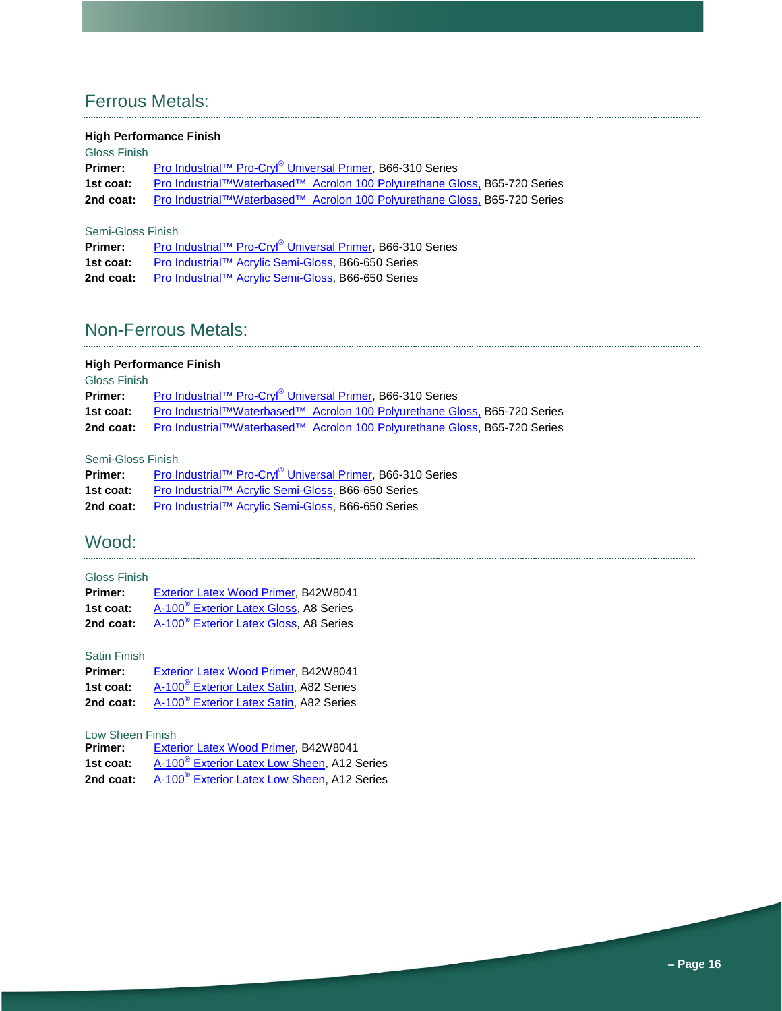### Ferrous Metals:

### **High Performance Finish**

| Gloss Finish |                                                                           |
|--------------|---------------------------------------------------------------------------|
| Primer:      | Pro Industrial™ Pro-Cryl® Universal Primer, B66-310 Series                |
| 1st coat:    | Pro Industrial™Waterbased™ Acrolon 100 Polyurethane Gloss, B65-720 Series |
| 2nd coat:    | Pro Industrial™Waterbased™ Acrolon 100 Polyurethane Gloss, B65-720 Series |

### Semi-Gloss Finish

| Primer:   | Pro Industrial™ Pro-Cryl® Universal Primer, B66-310 Series |
|-----------|------------------------------------------------------------|
| 1st coat: | Pro Industrial™ Acrylic Semi-Gloss, B66-650 Series         |
| 2nd coat: | Pro Industrial™ Acrylic Semi-Gloss, B66-650 Series         |

## Non-Ferrous Metals:

### **High Performance Finish**

### Gloss Finish

| <b>Primer:</b> | Pro Industrial™ Pro-Cryl® Universal Primer, B66-310 Series                |
|----------------|---------------------------------------------------------------------------|
| 1st coat:      | Pro Industrial™Waterbased™ Acrolon 100 Polyurethane Gloss, B65-720 Series |
| 2nd coat:      | Pro Industrial™Waterbased™ Acrolon 100 Polyurethane Gloss, B65-720 Series |
|                |                                                                           |

### Semi-Gloss Finish

| <b>Primer:</b> | Pro Industrial™ Pro-Cryl® Universal Primer, B66-310 Series |
|----------------|------------------------------------------------------------|
| 1st coat:      | Pro Industrial™ Acrylic Semi-Gloss, B66-650 Series         |
| 2nd coat:      | Pro Industrial™ Acrylic Semi-Gloss, B66-650 Series         |

## Wood:

### Gloss Finish

| <b>Primer:</b> | Exterior Latex Wood Primer, B42W8041               |
|----------------|----------------------------------------------------|
| 1st coat:      | A-100 <sup>®</sup> Exterior Latex Gloss, A8 Series |
| 2nd coat:      | A-100 <sup>®</sup> Exterior Latex Gloss, A8 Series |

### Satin Finish

| Primer:   | Exterior Latex Wood Primer, B42W8041                |
|-----------|-----------------------------------------------------|
| 1st coat: | A-100 <sup>®</sup> Exterior Latex Satin, A82 Series |
| 2nd coat: | A-100 <sup>®</sup> Exterior Latex Satin, A82 Series |

#### Low Sheen Finish

| <b>Primer:</b> | Exterior Latex Wood Primer, B42W8041                    |
|----------------|---------------------------------------------------------|
| 1st coat:      | A-100 <sup>®</sup> Exterior Latex Low Sheen, A12 Series |
| 2nd coat:      | A-100 <sup>®</sup> Exterior Latex Low Sheen, A12 Series |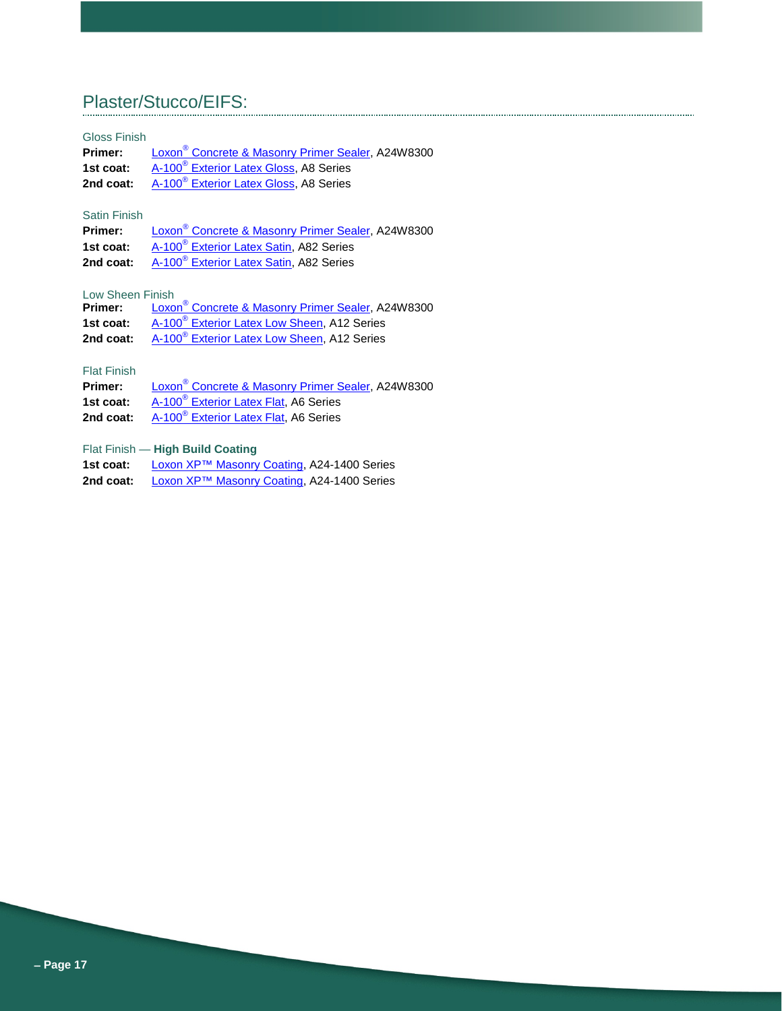### Plaster/Stucco/EIFS:

### Gloss Finish

| Primer:   | Loxon <sup>®</sup> Concrete & Masonry Primer Sealer, A24W8300 |
|-----------|---------------------------------------------------------------|
| 1st coat: | A-100 <sup>®</sup> Exterior Latex Gloss, A8 Series            |
| 2nd coat: | A-100 <sup>®</sup> Exterior Latex Gloss, A8 Series            |

### Satin Finish

| Primer:   | Loxon <sup>®</sup> Concrete & Masonry Primer Sealer, A24W8300 |
|-----------|---------------------------------------------------------------|
| 1st coat: | A-100 <sup>®</sup> Exterior Latex Satin, A82 Series           |
| 2nd coat: | A-100 <sup>®</sup> Exterior Latex Satin, A82 Series           |

### Low Sheen Finish

| Primer:   | Loxon <sup>®</sup> Concrete & Masonry Primer Sealer, A24W8300 |
|-----------|---------------------------------------------------------------|
| 1st coat: | A-100 <sup>®</sup> Exterior Latex Low Sheen, A12 Series       |
| 2nd coat: | A-100 <sup>®</sup> Exterior Latex Low Sheen, A12 Series       |

### Flat Finish

| Primer:   | Loxon <sup>®</sup> Concrete & Masonry Primer Sealer, A24W8300 |
|-----------|---------------------------------------------------------------|
| 1st coat: | A-100 <sup>®</sup> Exterior Latex Flat, A6 Series             |
| 2nd coat: | A-100 <sup>®</sup> Exterior Latex Flat, A6 Series             |

### Flat Finish — **High Build Coating**

| 1st coat: | Loxon XP™ Masonry Coating, A24-1400 Series |
|-----------|--------------------------------------------|
| 2nd coat: | Loxon XP™ Masonry Coating, A24-1400 Series |